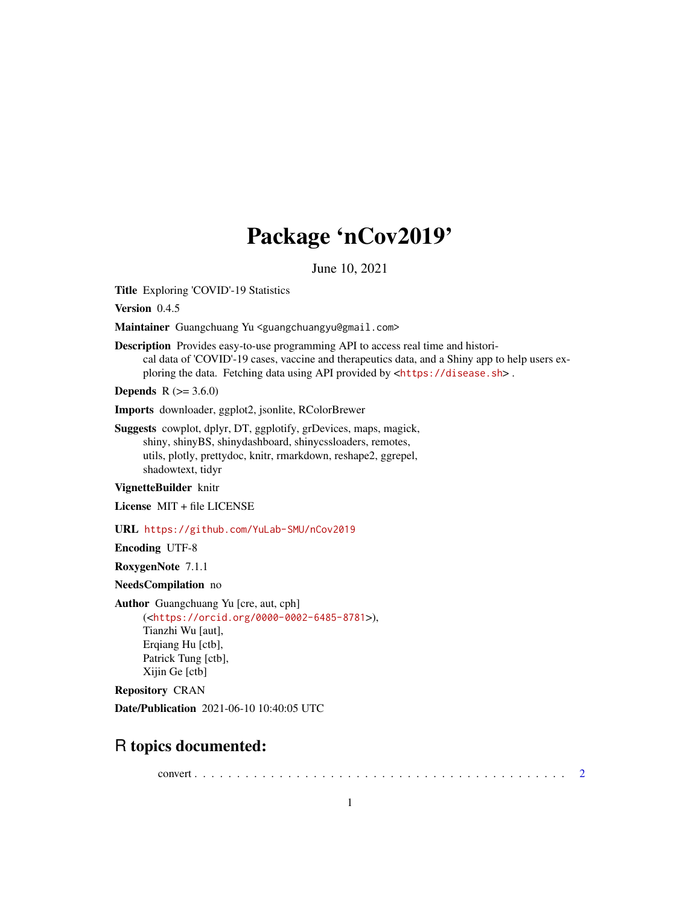## Package 'nCov2019'

June 10, 2021

Title Exploring 'COVID'-19 Statistics

Version 0.4.5

Maintainer Guangchuang Yu <guangchuangyu@gmail.com>

Description Provides easy-to-use programming API to access real time and historical data of 'COVID'-19 cases, vaccine and therapeutics data, and a Shiny app to help users exploring the data. Fetching data using API provided by <<https://disease.sh>>.

**Depends**  $R (= 3.6.0)$ 

Imports downloader, ggplot2, jsonlite, RColorBrewer

Suggests cowplot, dplyr, DT, ggplotify, grDevices, maps, magick, shiny, shinyBS, shinydashboard, shinycssloaders, remotes, utils, plotly, prettydoc, knitr, rmarkdown, reshape2, ggrepel, shadowtext, tidyr

VignetteBuilder knitr

License MIT + file LICENSE

URL <https://github.com/YuLab-SMU/nCov2019>

Encoding UTF-8

RoxygenNote 7.1.1

NeedsCompilation no

Author Guangchuang Yu [cre, aut, cph] (<<https://orcid.org/0000-0002-6485-8781>>), Tianzhi Wu [aut], Erqiang Hu [ctb], Patrick Tung [ctb], Xijin Ge [ctb]

Repository CRAN

Date/Publication 2021-06-10 10:40:05 UTC

## R topics documented:

convert . . . . . . . . . . . . . . . . . . . . . . . . . . . . . . . . . . . . . . . . . . . . [2](#page-1-0)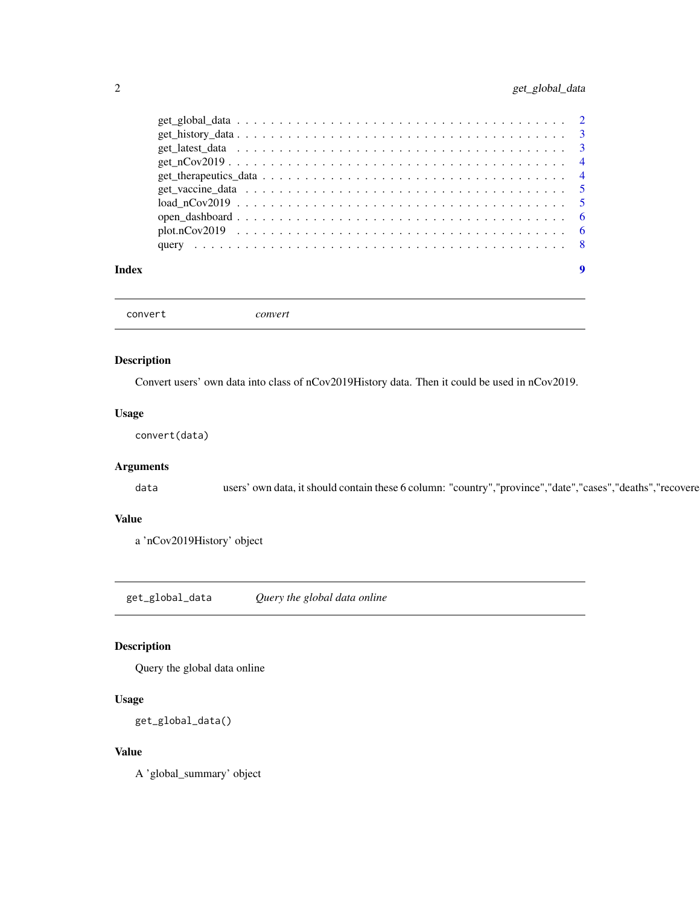#### <span id="page-1-0"></span>2 get\_global\_data

| Index |  |
|-------|--|

convert *convert*

#### Description

Convert users' own data into class of nCov2019History data. Then it could be used in nCov2019.

#### Usage

convert(data)

#### Arguments

data users' own data, it should contain these 6 column: "country", "province", "date", "cases", "deaths", "recovere

#### Value

a 'nCov2019History' object

get\_global\_data *Query the global data online*

#### Description

Query the global data online

#### Usage

get\_global\_data()

#### Value

A 'global\_summary' object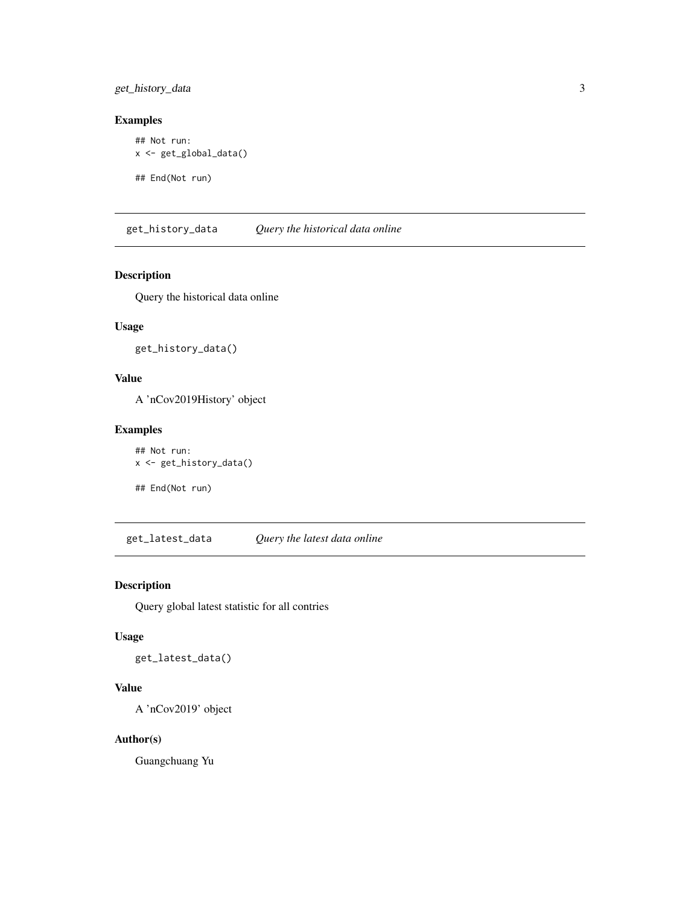<span id="page-2-0"></span>get\_history\_data 3

#### Examples

```
## Not run:
x <- get_global_data()
## End(Not run)
```
get\_history\_data *Query the historical data online*

#### Description

Query the historical data online

#### Usage

get\_history\_data()

#### Value

A 'nCov2019History' object

#### Examples

```
## Not run:
x <- get_history_data()
```
## End(Not run)

get\_latest\_data *Query the latest data online*

#### Description

Query global latest statistic for all contries

#### Usage

get\_latest\_data()

#### Value

A 'nCov2019' object

#### Author(s)

Guangchuang Yu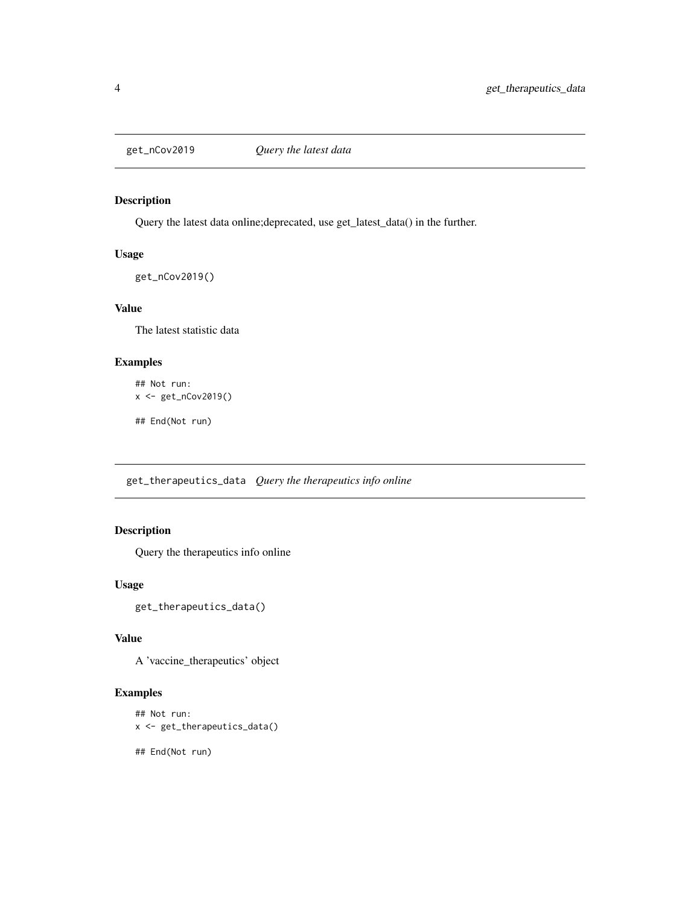<span id="page-3-0"></span>

#### Description

Query the latest data online;deprecated, use get\_latest\_data() in the further.

#### Usage

get\_nCov2019()

#### Value

The latest statistic data

#### Examples

```
## Not run:
x <- get_nCov2019()
```
## End(Not run)

get\_therapeutics\_data *Query the therapeutics info online*

#### Description

Query the therapeutics info online

#### Usage

get\_therapeutics\_data()

#### Value

A 'vaccine\_therapeutics' object

#### Examples

```
## Not run:
x <- get_therapeutics_data()
```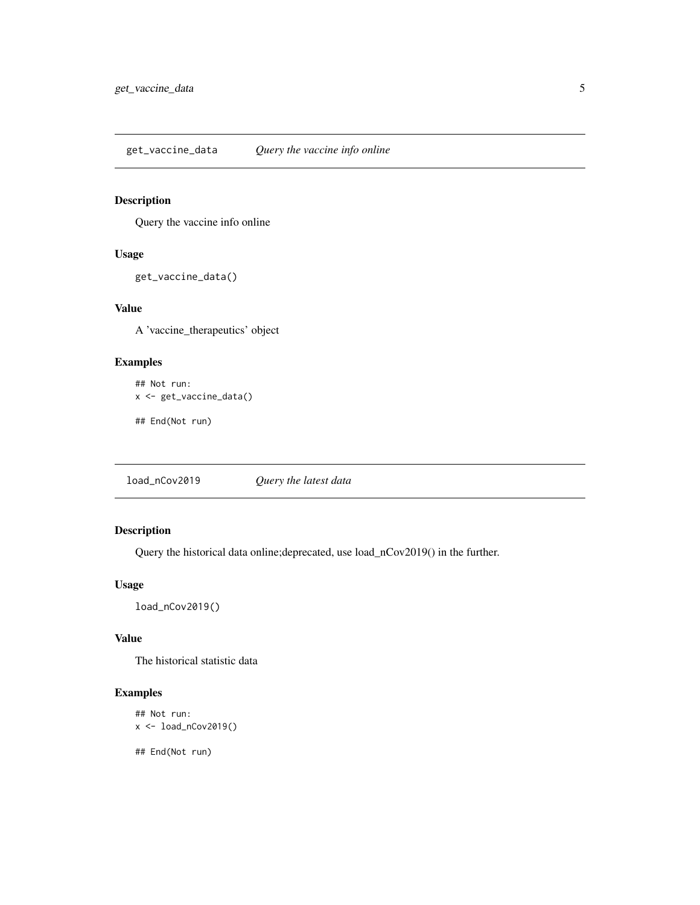<span id="page-4-0"></span>get\_vaccine\_data *Query the vaccine info online*

#### Description

Query the vaccine info online

#### Usage

```
get_vaccine_data()
```
#### Value

A 'vaccine\_therapeutics' object

#### Examples

```
## Not run:
x <- get_vaccine_data()
```
## End(Not run)

load\_nCov2019 *Query the latest data*

#### Description

Query the historical data online;deprecated, use load\_nCov2019() in the further.

#### Usage

load\_nCov2019()

#### Value

The historical statistic data

#### Examples

```
## Not run:
x <- load_nCov2019()
```
## End(Not run)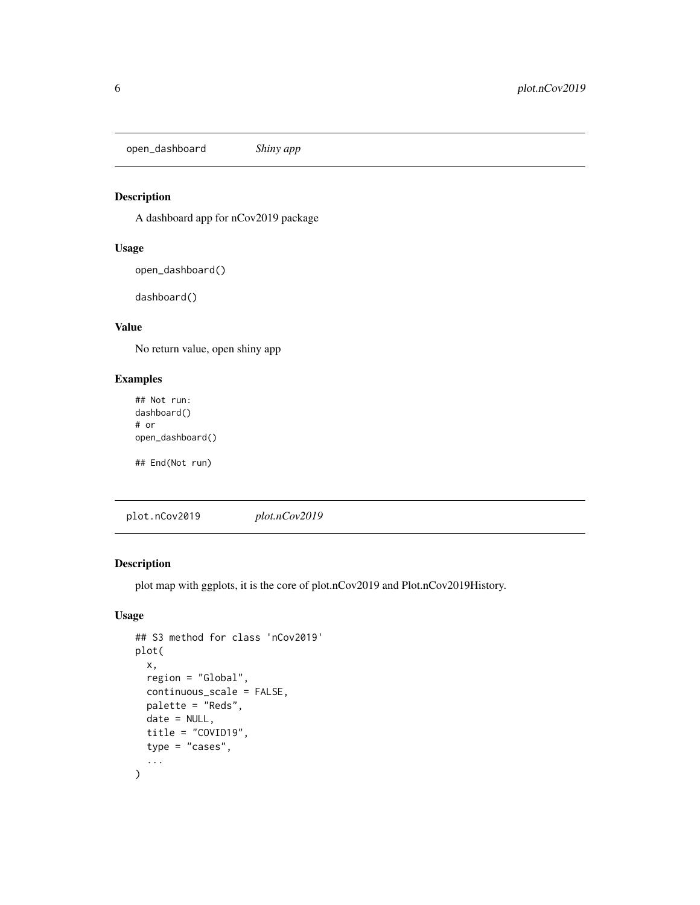<span id="page-5-0"></span>open\_dashboard *Shiny app*

#### Description

A dashboard app for nCov2019 package

#### Usage

open\_dashboard()

dashboard()

### Value

No return value, open shiny app

#### Examples

## Not run: dashboard() # or open\_dashboard()

## End(Not run)

plot.nCov2019 *plot.nCov2019*

#### Description

plot map with ggplots, it is the core of plot.nCov2019 and Plot.nCov2019History.

#### Usage

```
## S3 method for class 'nCov2019'
plot(
  x,
  region = "Global",
 continuous_scale = FALSE,
 palette = "Reds",
 date = NULL,
  title = "COVID19",
  type = "cases",
  ...
\mathcal{L}
```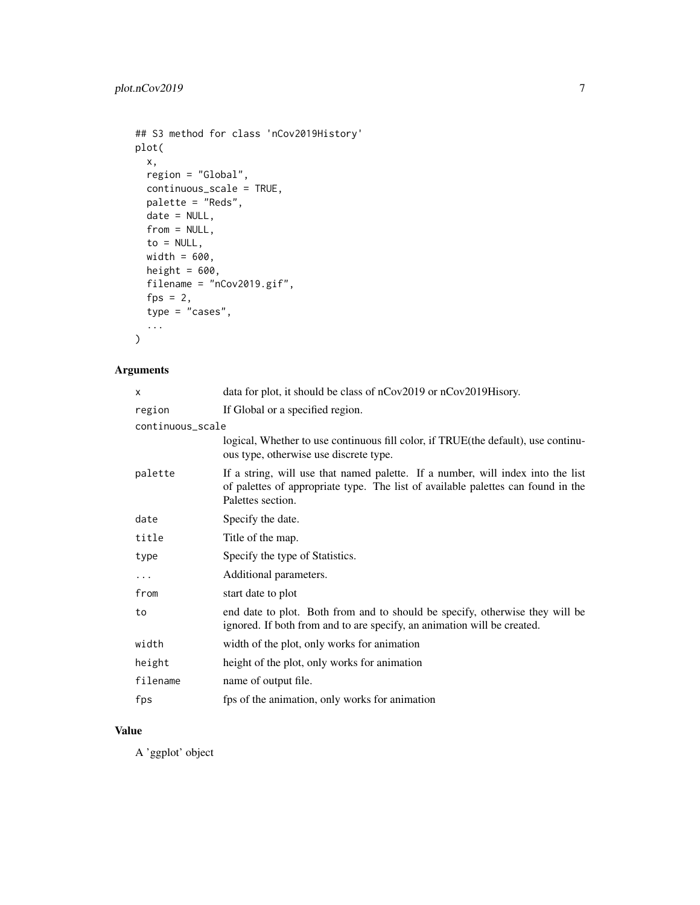```
## S3 method for class 'nCov2019History'
plot(
  x,
  region = "Global",
  continuous_scale = TRUE,
  palette = "Reds",
  date = NULL,from = NULL,
  to = NULL,
  width = 600,
  height = 600,
  filename = "nCov2019.gif",
  fps = 2,
  type = "cases",
  ...
\mathcal{L}
```
#### Arguments

| data for plot, it should be class of nCov2019 or nCov2019Hisory.                                                                                                                         |
|------------------------------------------------------------------------------------------------------------------------------------------------------------------------------------------|
| If Global or a specified region.                                                                                                                                                         |
| continuous_scale                                                                                                                                                                         |
| logical, Whether to use continuous fill color, if TRUE (the default), use continu-<br>ous type, otherwise use discrete type.                                                             |
| If a string, will use that named palette. If a number, will index into the list<br>of palettes of appropriate type. The list of available palettes can found in the<br>Palettes section. |
| Specify the date.                                                                                                                                                                        |
| Title of the map.                                                                                                                                                                        |
| Specify the type of Statistics.                                                                                                                                                          |
| Additional parameters.                                                                                                                                                                   |
| start date to plot                                                                                                                                                                       |
| end date to plot. Both from and to should be specify, otherwise they will be<br>ignored. If both from and to are specify, an animation will be created.                                  |
| width of the plot, only works for animation                                                                                                                                              |
| height of the plot, only works for animation                                                                                                                                             |
| name of output file.                                                                                                                                                                     |
| fps of the animation, only works for animation                                                                                                                                           |
|                                                                                                                                                                                          |

#### Value

A 'ggplot' object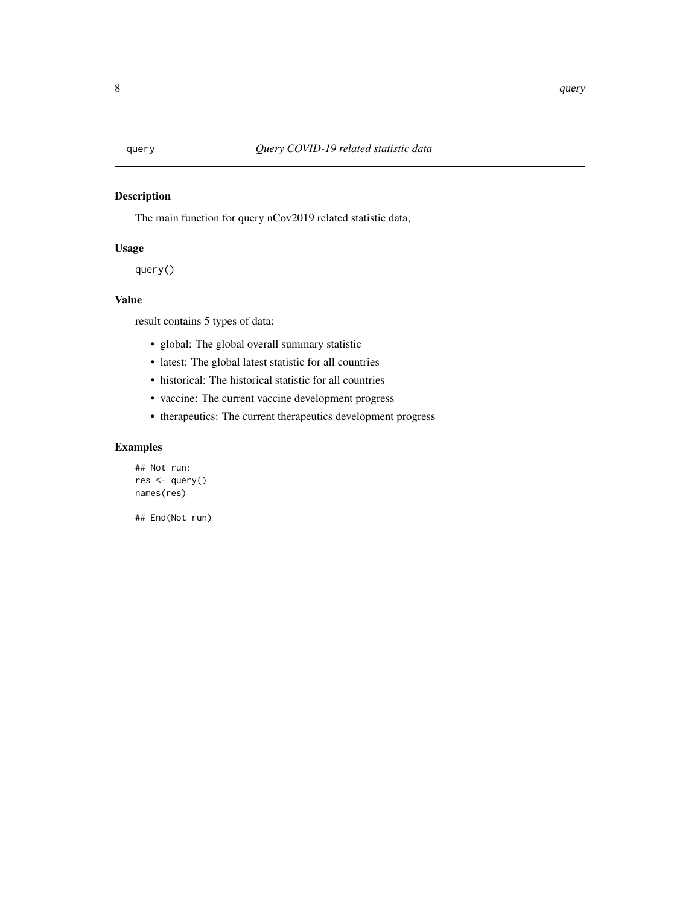#### <span id="page-7-0"></span>Description

The main function for query nCov2019 related statistic data,

#### Usage

query()

#### Value

result contains 5 types of data:

- global: The global overall summary statistic
- latest: The global latest statistic for all countries
- historical: The historical statistic for all countries
- vaccine: The current vaccine development progress
- therapeutics: The current therapeutics development progress

#### Examples

```
## Not run:
res <- query()
names(res)
```
## End(Not run)